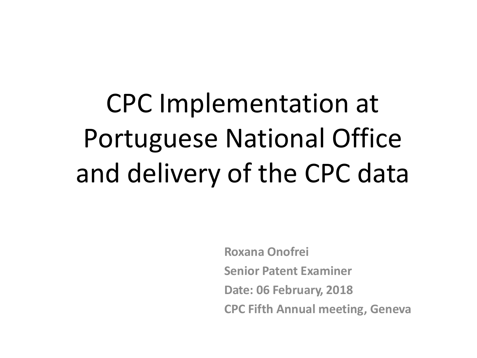CPC Implementation at Portuguese National Office and delivery of the CPC data

> **Roxana Onofrei Senior Patent Examiner Date: 06 February, 2018 CPC Fifth Annual meeting, Geneva**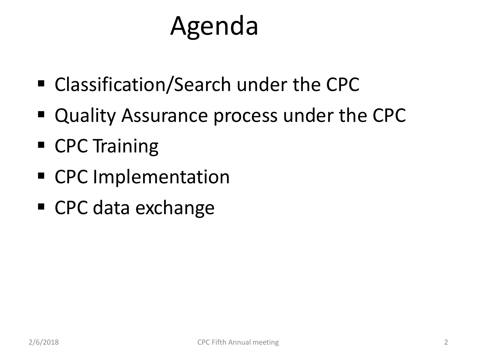# Agenda

- Classification/Search under the CPC
- Quality Assurance process under the CPC
- CPC Training
- CPC Implementation
- CPC data exchange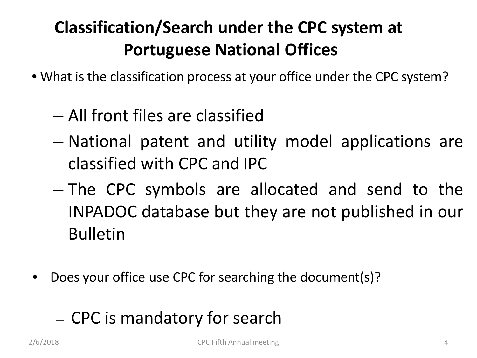# **Classification/Search under the CPC system at Portuguese National Offices**

- What is the classification process at your office under the CPC system?
	- All front files are classified
	- National patent and utility model applications are classified with CPC and IPC
	- The CPC symbols are allocated and send to the INPADOC database but they are not published in our Bulletin
- Does your office use CPC for searching the document(s)?
	- CPC is mandatory for search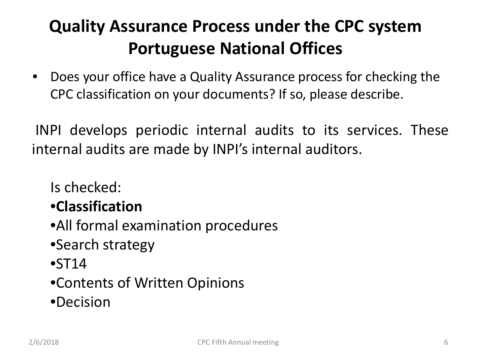## **Quality Assurance Process under the CPC system Portuguese National Offices**

• Does your office have a Quality Assurance process for checking the CPC classification on your documents? If so, please describe.

INPI develops periodic internal audits to its services. These internal audits are made by INPI's internal auditors.

Is checked:

#### •**Classification**

- •All formal examination procedures
- •Search strategy
- $\bullet$ ST14
- •Contents of Written Opinions
- •Decision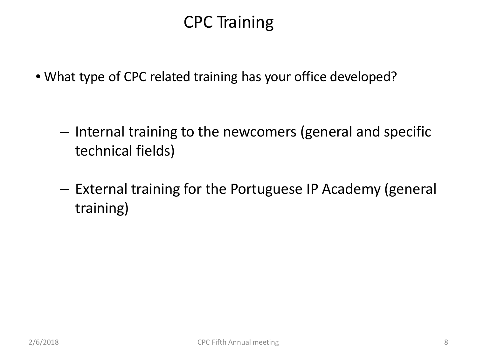## CPC Training

• What type of CPC related training has your office developed?

- Internal training to the newcomers (general and specific technical fields)
- External training for the Portuguese IP Academy (general training)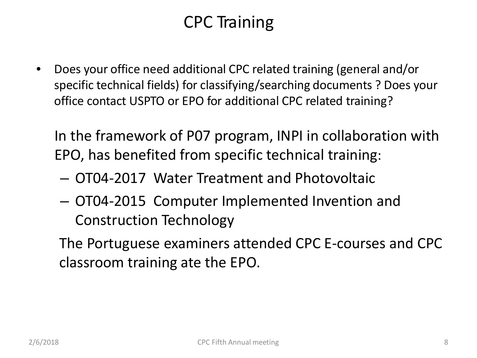## CPC Training

• Does your office need additional CPC related training (general and/or specific technical fields) for classifying/searching documents ? Does your office contact USPTO or EPO for additional CPC related training?

In the framework of P07 program, INPI in collaboration with EPO, has benefited from specific technical training:

- OT04-2017 Water Treatment and Photovoltaic
- OT04-2015 Computer Implemented Invention and Construction Technology

The Portuguese examiners attended CPC E-courses and CPC classroom training ate the EPO.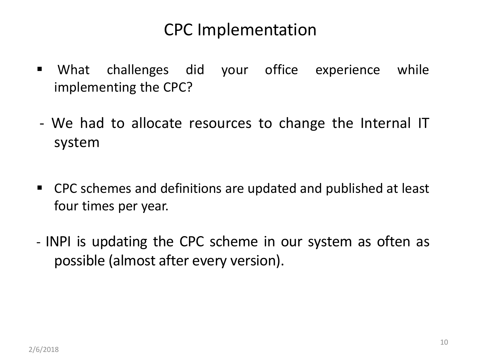#### CPC Implementation

- What challenges did your office experience while implementing the CPC?
- We had to allocate resources to change the Internal IT system
- CPC schemes and definitions are updated and published at least four times per year.
- INPI is updating the CPC scheme in our system as often as possible (almost after every version).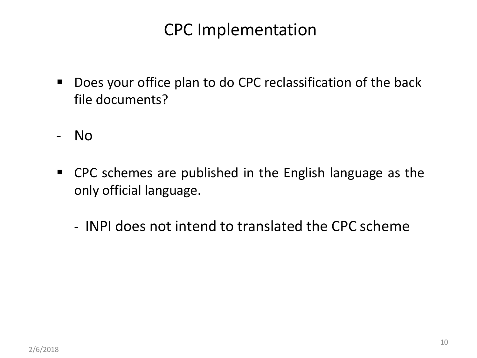#### CPC Implementation

- Does your office plan to do CPC reclassification of the back file documents?
- No
- CPC schemes are published in the English language as the only official language.
	- INPI does not intend to translated the CPC scheme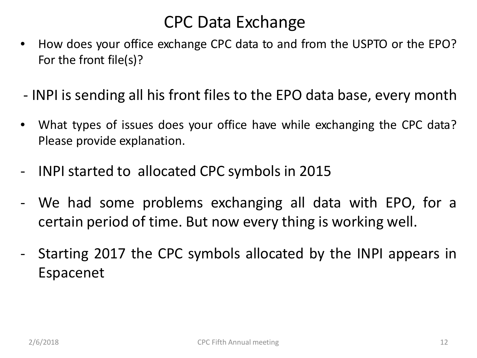#### CPC Data Exchange

- How does your office exchange CPC data to and from the USPTO or the EPO? For the front file(s)?
- INPI is sending all his front files to the EPO data base, every month
- What types of issues does your office have while exchanging the CPC data? Please provide explanation.
- INPI started to allocated CPC symbols in 2015
- We had some problems exchanging all data with EPO, for a certain period of time. But now every thing is working well.
- Starting 2017 the CPC symbols allocated by the INPI appears in Espacenet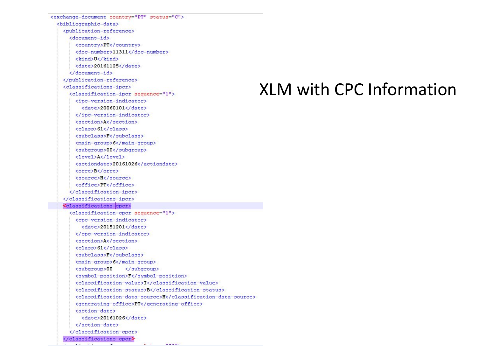| <exchange-document country="PT" status="C"></exchange-document> |
|-----------------------------------------------------------------|
| <blbliographic-data></blbliographic-data>                       |
| <publication-reference></publication-reference>                 |
| <document-id></document-id>                                     |
| <country>PT</country>                                           |
| <doc-number>11311</doc-number>                                  |
| <kind>U</kind>                                                  |
| <date>20161125</date>                                           |
|                                                                 |
|                                                                 |
| <classifications-ipcr></classifications-ipcr>                   |
| <classification-ipcr sequence="1"></classification-ipcr>        |
| <ipc-version-indicator></ipc-version-indicator>                 |
| $\langle date \rangle 20060101 \langle date \rangle$            |
|                                                                 |
| <section>A</section>                                            |
| <class>61</class>                                               |
| <subclass>F</subclass>                                          |
| <main-group>6</main-group>                                      |
| <subgroup>00</subgroup>                                         |
| <level>A</level>                                                |
| <actiondate>20161026</actiondate>                               |
| <orre>B</orre>                                                  |
| <source/> H                                                     |
| <office>PT</office>                                             |
|                                                                 |
|                                                                 |
| <classifications-cpcr></classifications-cpcr>                   |
| <classification-cpcr sequence="1"></classification-cpcr>        |
| <cpc-version-indicator></cpc-version-indicator>                 |
| <date>20151201</date>                                           |
|                                                                 |
| <section>A</section>                                            |
| <class>61</class>                                               |
| <subclass>F</subclass>                                          |
| <main-group>6</main-group>                                      |
| <subgroup>00<br/><math>\langle</math>/subgroup&gt;</subgroup>   |
| <symbol-position>F</symbol-position>                            |
| <classification-value>I</classification-value>                  |
| <classification-status>B</classification-status>                |
| <classification-data-source>H</classification-data-source>      |
| <generating-office>PT</generating-office>                       |
| <action-date></action-date>                                     |
| <date>20161026</date>                                           |
|                                                                 |
|                                                                 |
| $\langle$ /classifications-cncr $\rangle$                       |

 $\mathbf{u} = \mathbf{v}$ 

 $n...$ 

## XLM with CPC Information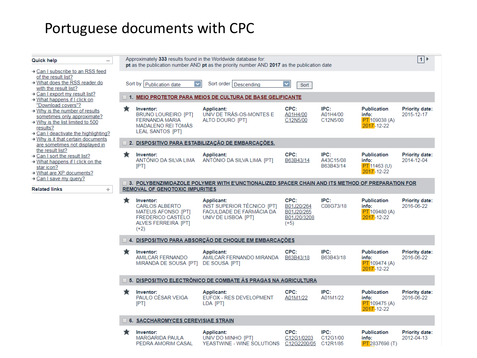#### Portuguese documents with CPC

| Quick help<br>$\overline{\phantom{a}}$                                                                                                                                          | Approximately 333 results found in the Worldwide database for:<br>pt as the publication number AND pt as the priority number AND 2017 as the publication date |                                                                                                                              |                                                                                                    |                                                           |                                |                                                                         | 1                                   |  |
|---------------------------------------------------------------------------------------------------------------------------------------------------------------------------------|---------------------------------------------------------------------------------------------------------------------------------------------------------------|------------------------------------------------------------------------------------------------------------------------------|----------------------------------------------------------------------------------------------------|-----------------------------------------------------------|--------------------------------|-------------------------------------------------------------------------|-------------------------------------|--|
| → Can I subscribe to an RSS feed<br>of the result list?<br>→ What does the RSS reader do                                                                                        |                                                                                                                                                               | Sort by  <br>Publication date                                                                                                | Sort order   Descending                                                                            | Sort                                                      |                                |                                                                         |                                     |  |
| with the result list?<br>→ Can I export my result list?<br>$\rightarrow$ What happens if I click on                                                                             |                                                                                                                                                               |                                                                                                                              | 1. MEIO PROTETOR PARA MEIOS DE CULTURA DE BASE GELIFICANTE                                         |                                                           |                                |                                                                         |                                     |  |
| "Download covers"?<br>$+$ Why is the number of results<br>sometimes only approximate?<br>$+$ Why is the list limited to 500<br>results?<br>+ Can I deactivate the highlighting? | ★                                                                                                                                                             | Inventor:<br><b>BRUNO LOUREIRO [PT]</b><br><b>FERNANDA MARIA</b><br><b>MADALENO REI TOMÁS</b><br><b>LEAL SANTOS [PT]</b>     | Applicant:<br>UNIV DE TRÁS-OS-MONTES E<br>ALTO DOURO [PT]                                          | CPC:<br>A01H4/00<br>C12N5/00                              | IPC:<br>A01H4/00<br>C12N5/00   | <b>Publication</b><br>info:<br><b>PT</b> 109038 (A)<br>$2017 - 12 - 22$ | <b>Priority date:</b><br>2015-12-17 |  |
| $\rightarrow$ Why is it that certain documents<br>are sometimes not displayed in                                                                                                |                                                                                                                                                               |                                                                                                                              | 2. DISPOSITIVO PARA ESTABILIZAÇÃO DE EMBARCAÇÕES.                                                  |                                                           |                                |                                                                         |                                     |  |
| the result list?<br>$\rightarrow$ Can I sort the result list?<br>→ What happens if I click on the<br>star icon?<br>→ What are XP documents?                                     | ★                                                                                                                                                             | Inventor:<br>ANTÓNIO DA SILVA LIMA<br>[PT]                                                                                   | Applicant:<br>ANTÓNIO DA SILVA LIMA [PT]                                                           | CPC:<br>B63B43/14                                         | IPC:<br>A43C15/08<br>B63B43/14 | <b>Publication</b><br>info:<br>PT 11463 (U)<br>2017-12-22               | <b>Priority date:</b><br>2014-12-04 |  |
| → Can I save my query?<br><b>Related links</b><br>÷                                                                                                                             | 3. POLYBENZIMIDAZOLE POLYMER WITH E'UNCTIONALIZED SPACER CHAIN AND ITS METHOD OF PREPARATION FOR<br><b>REMOVAL OF GENOTOXIC IMPURITIES</b>                    |                                                                                                                              |                                                                                                    |                                                           |                                |                                                                         |                                     |  |
|                                                                                                                                                                                 | ★                                                                                                                                                             | Inventor:<br><b>CARLOS ALBERTO</b><br>MATEUS AFONSO [PT]<br><b>FREDERICO CASTELO</b><br><b>ALVES FERREIRA [PT]</b><br>$(+2)$ | Applicant:<br><b>INST SUPERIOR TÉCNICO [PT]</b><br>FACULDADE DE FARMÁCIA DA<br>UNIV DE LISBOA [PT] | CPC:<br>B01J20/264<br>B01J20/265<br>B01J20/3208<br>$(+5)$ | IPC:<br>C08G73/18              | <b>Publication</b><br>info:<br><b>PT</b> 109480 (A)<br>$2017 - 12 - 22$ | <b>Priority date:</b><br>2016-06-22 |  |
|                                                                                                                                                                                 |                                                                                                                                                               | 4. DISPOSITIVO PARA ABSORÇÃO DE CHOQUE EM EMBARCAÇÕES                                                                        |                                                                                                    |                                                           |                                |                                                                         |                                     |  |
|                                                                                                                                                                                 | ★                                                                                                                                                             | Inventor:<br><b>AMILCAR FERNANDO</b><br>MIRANDA DE SOUSA [PT]                                                                | <b>Applicant:</b><br>AMILCAR FERNANDO MIRANDA<br>DE SOUSA [PT]                                     | CPC:<br>B63B43/18                                         | IPC:<br>B63B43/18              | <b>Publication</b><br>info:<br><b>PT</b> 109474 (A)<br>$2017 - 12 - 22$ | <b>Priority date:</b><br>2016-06-22 |  |
|                                                                                                                                                                                 | 5. DISPOSITIVO ELECTRÔNICO DE COMBATE ÀS PRAGAS NA AGRICULTURA                                                                                                |                                                                                                                              |                                                                                                    |                                                           |                                |                                                                         |                                     |  |
|                                                                                                                                                                                 | ★                                                                                                                                                             | Inventor:<br>PAULO CÉSAR VEIGA<br>[PT]                                                                                       | Applicant:<br>EUFOX - RES DEVELOPMENT<br>LDA [PT]                                                  | CPC:<br>A01M1/22                                          | IPC:<br>A01M1/22               | <b>Publication</b><br>info:<br>PT 109475 (A)<br>$2017 - 12 - 22$        | <b>Priority date:</b><br>2016-06-22 |  |
|                                                                                                                                                                                 |                                                                                                                                                               | 6. SACCHAROMYCES CEREVISIAE STRAIN                                                                                           |                                                                                                    |                                                           |                                |                                                                         |                                     |  |
|                                                                                                                                                                                 | ×                                                                                                                                                             | Inventor:<br><b>MARGARIDA PAULA</b><br>PEDRA AMORIM CASAL                                                                    | Applicant:<br>UNIV DO MINHO [PT]<br>YEASTWINE - WINE SOLUTIONS                                     | CPC:<br>C12G1/0203<br>C12G2200/05                         | IPC:<br>C12G1/00<br>C12R1/85   | <b>Publication</b><br>info:<br>PT <sub>2837698</sub> (T)                | <b>Priority date:</b><br>2012-04-13 |  |